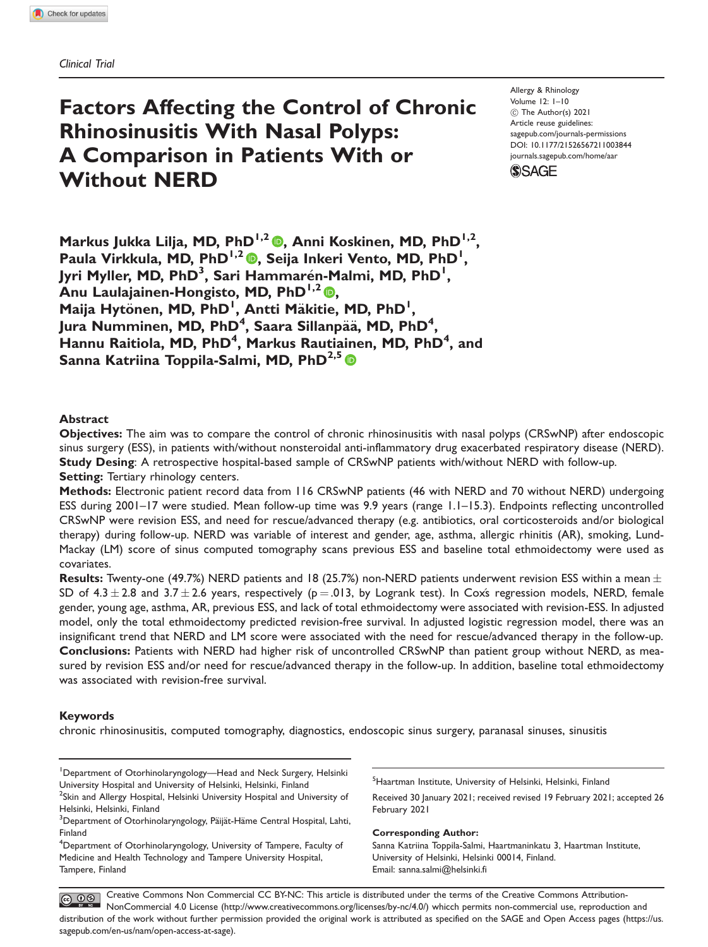## Factors Affecting the Control of Chronic Rhinosinusitis With Nasal Polyps: A Comparison in Patients With or Without NERD

Allergy & Rhinology Volume 12: 1–10  $\circledcirc$  The Author(s) 2021 Article reuse guidelines: [sagepub.com/journals-permissions](http://us.sagepub.com/en-us/journals-permissions) [DOI: 10.1177/21526567211003844](http://dx.doi.org/10.1177/21526567211003844) <journals.sagepub.com/home/aar>



Markus Jukka Lilja, MD, PhD<sup>1,2</sup> , Anni Koskinen, MD, PhD<sup>1,2</sup>, Paula Virkkula[,](https://orcid.org/0000-0003-4224-5201) MD, PhD<sup>1,2</sup> (D, Seija Inkeri Vento, MD, PhD<sup>1</sup>, Jyri Myller, MD, PhD<sup>3</sup>, Sari Hammarén-Malmi, MD, PhD<sup>1</sup>, Anu Laulajainen-Hongisto, MD, PhD<sup>1,2</sup> , Maija Hytönen, MD, PhD<sup>1</sup>, Antti Mäkitie, MD, PhD<sup>1</sup>, Jura Numminen, MD, PhD<sup>4</sup>, Saara Sillanpää, MD, PhD<sup>4</sup>, Hannu Raitiola, MD, PhD<sup>4</sup>, Markus Rautiainen, MD, PhD<sup>4</sup>, and Sanna Katriina Toppila-Salmi, MD, PhD<sup>2,5</sup>

#### Abstract

Objectives: The aim was to compare the control of chronic rhinosinusitis with nasal polyps (CRSwNP) after endoscopic sinus surgery (ESS), in patients with/without nonsteroidal anti-inflammatory drug exacerbated respiratory disease (NERD). Study Desing: A retrospective hospital-based sample of CRSwNP patients with/without NERD with follow-up. Setting: Tertiary rhinology centers.

Methods: Electronic patient record data from 116 CRSwNP patients (46 with NERD and 70 without NERD) undergoing ESS during 2001–17 were studied. Mean follow-up time was 9.9 years (range 1.1–15.3). Endpoints reflecting uncontrolled CRSwNP were revision ESS, and need for rescue/advanced therapy (e.g. antibiotics, oral corticosteroids and/or biological therapy) during follow-up. NERD was variable of interest and gender, age, asthma, allergic rhinitis (AR), smoking, Lund-Mackay (LM) score of sinus computed tomography scans previous ESS and baseline total ethmoidectomy were used as covariates.

Results: Twenty-one (49.7%) NERD patients and 18 (25.7%) non-NERD patients underwent revision ESS within a mean  $\pm$ SD of  $4.3 \pm 2.8$  and  $3.7 \pm 2.6$  years, respectively (p = .013, by Logrank test). In Coxs regression models, NERD, female gender, young age, asthma, AR, previous ESS, and lack of total ethmoidectomy were associated with revision-ESS. In adjusted model, only the total ethmoidectomy predicted revision-free survival. In adjusted logistic regression model, there was an insignificant trend that NERD and LM score were associated with the need for rescue/advanced therapy in the follow-up. Conclusions: Patients with NERD had higher risk of uncontrolled CRSwNP than patient group without NERD, as measured by revision ESS and/or need for rescue/advanced therapy in the follow-up. In addition, baseline total ethmoidectomy was associated with revision-free survival.

#### Keywords

chronic rhinosinusitis, computed tomography, diagnostics, endoscopic sinus surgery, paranasal sinuses, sinusitis

<sup>1</sup>Department of Otorhinolaryngology—Head and Neck Surgery, Helsinki University Hospital and University of Helsinki, Helsinki, Finland <sup>2</sup>Skin and Allergy Hospital, Helsinki University Hospital and University of Helsinki, Helsinki, Finland

<sup>5</sup>Haartman Institute, University of Helsinki, Helsinki, Finland

Received 30 January 2021; received revised 19 February 2021; accepted 26 February 2021

#### Corresponding Author:

Sanna Katriina Toppila-Salmi, Haartmaninkatu 3, Haartman Institute, University of Helsinki, Helsinki 00014, Finland. Email: [sanna.salmi@helsinki.fi](mailto:sanna.salmi@helsinki.fi)

Creative Commons Non Commercial CC BY-NC: This article is distributed under the terms of the Creative Commons Attribution-COOS Creative Commons individual commercial COO Distribution and the state of discussion and the CAOE and Open Access pages (https://www.creativecommons.org/licenses/by-nc/4.0/) whicch permits non-commercial use, reproduct distribution of the work without further permission provided the original work is attributed as specified on the SAGE and Open Access pages (https://us. sagepub.com/en-us/nam/open-access-at-sage).

<sup>&</sup>lt;sup>3</sup>Department of Otorhinolaryngology, Päijät-Häme Central Hospital, Lahti, Finland

<sup>4</sup> Department of Otorhinolaryngology, University of Tampere, Faculty of Medicine and Health Technology and Tampere University Hospital, Tampere, Finland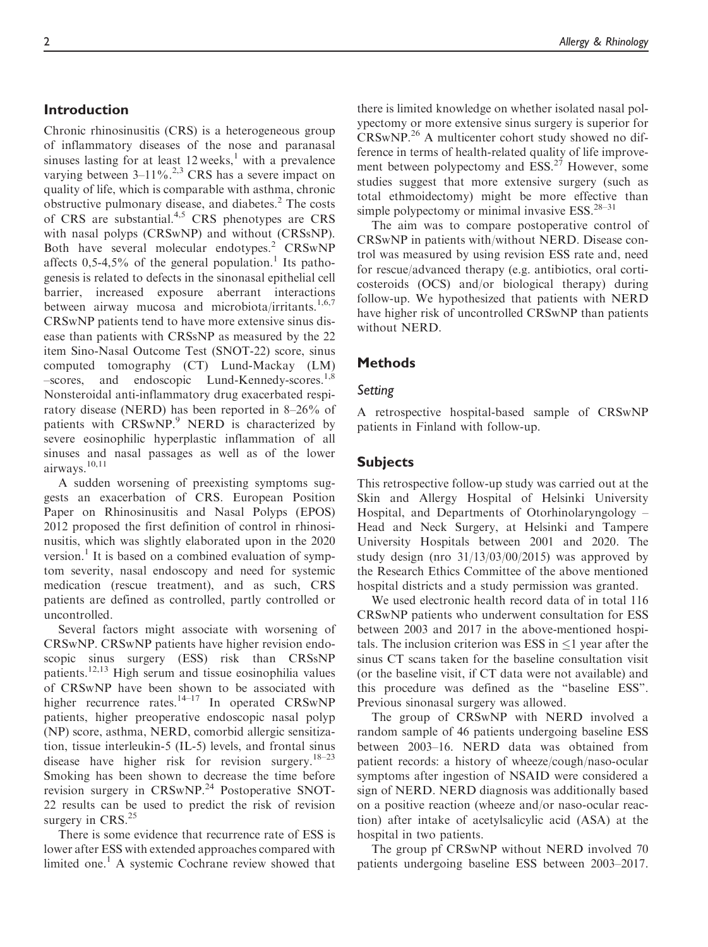## Introduction

Chronic rhinosinusitis (CRS) is a heterogeneous group of inflammatory diseases of the nose and paranasal sinuses lasting for at least  $12$  weeks,<sup>1</sup> with a prevalence varying between  $3-11\%$ .<sup>2,3</sup> CRS has a severe impact on quality of life, which is comparable with asthma, chronic obstructive pulmonary disease, and diabetes.<sup>2</sup> The costs of CRS are substantial.<sup>4,5</sup> CRS phenotypes are CRS with nasal polyps (CRSwNP) and without (CRSsNP). Both have several molecular endotypes.<sup>2</sup> CRSwNP affects  $0,5-4,5\%$  of the general population.<sup>1</sup> Its pathogenesis is related to defects in the sinonasal epithelial cell barrier, increased exposure aberrant interactions between airway mucosa and microbiota/irritants.<sup>1,6,7</sup> CRSwNP patients tend to have more extensive sinus disease than patients with CRSsNP as measured by the 22 item Sino-Nasal Outcome Test (SNOT-22) score, sinus computed tomography (CT) Lund-Mackay (LM) –scores, and endoscopic Lund-Kennedy-scores.1,8 Nonsteroidal anti-inflammatory drug exacerbated respiratory disease (NERD) has been reported in 8–26% of patients with CRSwNP.<sup>9</sup> NERD is characterized by severe eosinophilic hyperplastic inflammation of all sinuses and nasal passages as well as of the lower airways.<sup>10,11</sup>

A sudden worsening of preexisting symptoms suggests an exacerbation of CRS. European Position Paper on Rhinosinusitis and Nasal Polyps (EPOS) 2012 proposed the first definition of control in rhinosinusitis, which was slightly elaborated upon in the 2020 version.<sup>1</sup> It is based on a combined evaluation of symptom severity, nasal endoscopy and need for systemic medication (rescue treatment), and as such, CRS patients are defined as controlled, partly controlled or uncontrolled.

Several factors might associate with worsening of CRSwNP. CRSwNP patients have higher revision endoscopic sinus surgery (ESS) risk than CRSsNP patients.12,13 High serum and tissue eosinophilia values of CRSwNP have been shown to be associated with higher recurrence rates.<sup>14–17</sup> In operated CRSwNP patients, higher preoperative endoscopic nasal polyp (NP) score, asthma, NERD, comorbid allergic sensitization, tissue interleukin-5 (IL-5) levels, and frontal sinus disease have higher risk for revision surgery.<sup>18–23</sup> Smoking has been shown to decrease the time before revision surgery in CRSwNP.<sup>24</sup> Postoperative SNOT-22 results can be used to predict the risk of revision surgery in CRS.<sup>25</sup>

There is some evidence that recurrence rate of ESS is lower after ESS with extended approaches compared with limited one.<sup>1</sup> A systemic Cochrane review showed that

there is limited knowledge on whether isolated nasal polypectomy or more extensive sinus surgery is superior for CRSwNP.<sup>26</sup> A multicenter cohort study showed no difference in terms of health-related quality of life improvement between polypectomy and  $ESS.^{27}$  However, some studies suggest that more extensive surgery (such as total ethmoidectomy) might be more effective than simple polypectomy or minimal invasive ESS.<sup>28–31</sup>

The aim was to compare postoperative control of CRSwNP in patients with/without NERD. Disease control was measured by using revision ESS rate and, need for rescue/advanced therapy (e.g. antibiotics, oral corticosteroids (OCS) and/or biological therapy) during follow-up. We hypothesized that patients with NERD have higher risk of uncontrolled CRSwNP than patients without NERD.

## Methods

# $\overline{a}$

A retrospective hospital-based sample of CRSwNP patients in Finland with follow-up.

## Subjects

This retrospective follow-up study was carried out at the Skin and Allergy Hospital of Helsinki University Hospital, and Departments of Otorhinolaryngology – Head and Neck Surgery, at Helsinki and Tampere University Hospitals between 2001 and 2020. The study design (nro 31/13/03/00/2015) was approved by the Research Ethics Committee of the above mentioned hospital districts and a study permission was granted.

We used electronic health record data of in total 116 CRSwNP patients who underwent consultation for ESS between 2003 and 2017 in the above-mentioned hospitals. The inclusion criterion was ESS in  $\leq 1$  year after the sinus CT scans taken for the baseline consultation visit (or the baseline visit, if CT data were not available) and this procedure was defined as the "baseline ESS". Previous sinonasal surgery was allowed.

The group of CRSwNP with NERD involved a random sample of 46 patients undergoing baseline ESS between 2003–16. NERD data was obtained from patient records: a history of wheeze/cough/naso-ocular symptoms after ingestion of NSAID were considered a sign of NERD. NERD diagnosis was additionally based on a positive reaction (wheeze and/or naso-ocular reaction) after intake of acetylsalicylic acid (ASA) at the hospital in two patients.

The group pf CRSwNP without NERD involved 70 patients undergoing baseline ESS between 2003–2017.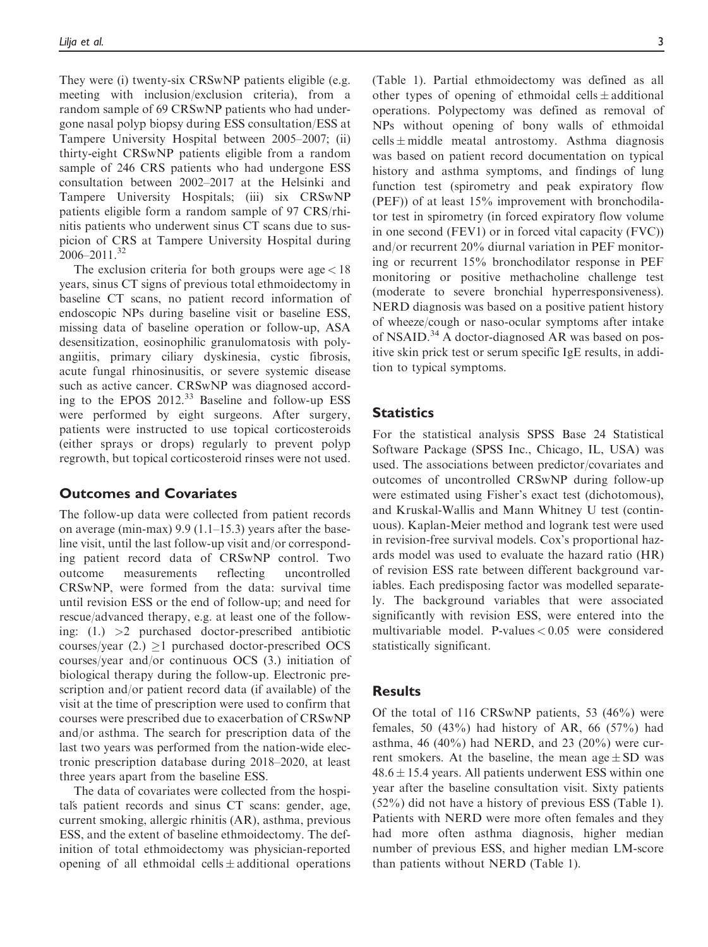They were (i) twenty-six CRSwNP patients eligible (e.g. meeting with inclusion/exclusion criteria), from a random sample of 69 CRSwNP patients who had undergone nasal polyp biopsy during ESS consultation/ESS at Tampere University Hospital between 2005–2007; (ii) thirty-eight CRSwNP patients eligible from a random sample of 246 CRS patients who had undergone ESS consultation between 2002–2017 at the Helsinki and Tampere University Hospitals; (iii) six CRSwNP patients eligible form a random sample of 97 CRS/rhinitis patients who underwent sinus CT scans due to suspicion of CRS at Tampere University Hospital during 2006–2011.32

The exclusion criteria for both groups were  $\alpha$ ge  $<$  18 years, sinus CT signs of previous total ethmoidectomy in baseline CT scans, no patient record information of endoscopic NPs during baseline visit or baseline ESS, missing data of baseline operation or follow-up, ASA desensitization, eosinophilic granulomatosis with polyangiitis, primary ciliary dyskinesia, cystic fibrosis, acute fungal rhinosinusitis, or severe systemic disease such as active cancer. CRSwNP was diagnosed according to the EPOS  $2012<sup>33</sup>$  Baseline and follow-up ESS were performed by eight surgeons. After surgery, patients were instructed to use topical corticosteroids (either sprays or drops) regularly to prevent polyp regrowth, but topical corticosteroid rinses were not used.

## Outcomes and Covariates

The follow-up data were collected from patient records on average (min-max) 9.9 (1.1–15.3) years after the baseline visit, until the last follow-up visit and/or corresponding patient record data of CRSwNP control. Two outcome measurements reflecting uncontrolled CRSwNP, were formed from the data: survival time until revision ESS or the end of follow-up; and need for rescue/advanced therapy, e.g. at least one of the following: (1.) >2 purchased doctor-prescribed antibiotic courses/year (2.)  $\geq$ 1 purchased doctor-prescribed OCS courses/year and/or continuous OCS (3.) initiation of biological therapy during the follow-up. Electronic prescription and/or patient record data (if available) of the visit at the time of prescription were used to confirm that courses were prescribed due to exacerbation of CRSwNP and/or asthma. The search for prescription data of the last two years was performed from the nation-wide electronic prescription database during 2018–2020, at least three years apart from the baseline ESS.

The data of covariates were collected from the hospitals patient records and sinus CT scans: gender, age, current smoking, allergic rhinitis (AR), asthma, previous ESS, and the extent of baseline ethmoidectomy. The definition of total ethmoidectomy was physician-reported opening of all ethmoidal cells  $\pm$  additional operations (Table 1). Partial ethmoidectomy was defined as all other types of opening of ethmoidal cells  $\pm$  additional operations. Polypectomy was defined as removal of NPs without opening of bony walls of ethmoidal cells  $\pm$  middle meatal antrostomy. Asthma diagnosis was based on patient record documentation on typical history and asthma symptoms, and findings of lung function test (spirometry and peak expiratory flow (PEF)) of at least 15% improvement with bronchodilator test in spirometry (in forced expiratory flow volume in one second (FEV1) or in forced vital capacity (FVC)) and/or recurrent 20% diurnal variation in PEF monitoring or recurrent 15% bronchodilator response in PEF monitoring or positive methacholine challenge test (moderate to severe bronchial hyperresponsiveness). NERD diagnosis was based on a positive patient history of wheeze/cough or naso-ocular symptoms after intake of NSAID.<sup>34</sup> A doctor-diagnosed AR was based on positive skin prick test or serum specific IgE results, in addition to typical symptoms.

## **Statistics**

For the statistical analysis SPSS Base 24 Statistical Software Package (SPSS Inc., Chicago, IL, USA) was used. The associations between predictor/covariates and outcomes of uncontrolled CRSwNP during follow-up were estimated using Fisher's exact test (dichotomous), and Kruskal-Wallis and Mann Whitney U test (continuous). Kaplan-Meier method and logrank test were used in revision-free survival models. Cox's proportional hazards model was used to evaluate the hazard ratio (HR) of revision ESS rate between different background variables. Each predisposing factor was modelled separately. The background variables that were associated significantly with revision ESS, were entered into the multivariable model. P-values < 0.05 were considered statistically significant.

## **Results**

Of the total of 116 CRSwNP patients, 53 (46%) were females, 50  $(43\%)$  had history of AR, 66  $(57\%)$  had asthma, 46 (40%) had NERD, and 23 (20%) were current smokers. At the baseline, the mean  $age \pm SD$  was  $48.6 \pm 15.4$  years. All patients underwent ESS within one year after the baseline consultation visit. Sixty patients (52%) did not have a history of previous ESS (Table 1). Patients with NERD were more often females and they had more often asthma diagnosis, higher median number of previous ESS, and higher median LM-score than patients without NERD (Table 1).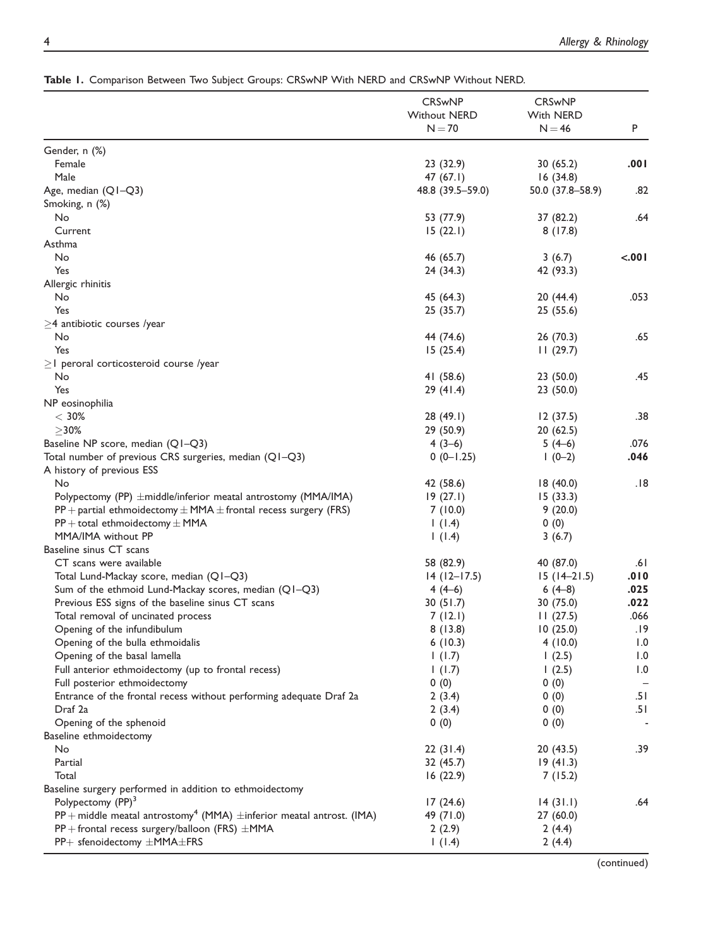|                                                                                         | <b>CRSwNP</b><br><b>Without NERD</b><br>$N = 70$ | <b>CRSwNP</b><br>With NERD<br>$N = 46$ | P     |
|-----------------------------------------------------------------------------------------|--------------------------------------------------|----------------------------------------|-------|
| Gender, n (%)                                                                           |                                                  |                                        |       |
| Female                                                                                  | 23 (32.9)                                        | 30 (65.2)                              | .001  |
| Male                                                                                    | 47 (67.1)                                        | 16(34.8)                               |       |
| Age, median (Q1-Q3)                                                                     | 48.8 (39.5-59.0)                                 | 50.0 (37.8-58.9)                       | .82   |
| Smoking, n (%)                                                                          |                                                  |                                        |       |
| No                                                                                      | 53 (77.9)                                        | 37 (82.2)                              | .64   |
| Current                                                                                 | 15(22.1)                                         | 8(17.8)                                |       |
| Asthma                                                                                  |                                                  |                                        |       |
| No                                                                                      | 46 (65.7)                                        | 3(6.7)                                 | <.001 |
| Yes                                                                                     | 24 (34.3)                                        | 42 (93.3)                              |       |
|                                                                                         |                                                  |                                        |       |
| Allergic rhinitis<br>No                                                                 |                                                  |                                        | .053  |
| Yes                                                                                     | 45 (64.3)                                        | 20 (44.4)                              |       |
|                                                                                         | 25 (35.7)                                        | 25(55.6)                               |       |
| $\geq$ 4 antibiotic courses /year                                                       |                                                  |                                        |       |
| No                                                                                      | 44 (74.6)                                        | 26 (70.3)                              | .65   |
| Yes                                                                                     | 15(25.4)                                         | 11(29.7)                               |       |
| $\geq$   peroral corticosteroid course /year                                            |                                                  |                                        |       |
| No                                                                                      | 41 (58.6)                                        | 23(50.0)                               | .45   |
| Yes                                                                                     | 29 (41.4)                                        | 23(50.0)                               |       |
| NP eosinophilia                                                                         |                                                  |                                        |       |
| $<$ 30%                                                                                 | 28 (49.1)                                        | 12(37.5)                               | .38   |
| $\geq$ 30%                                                                              | 29 (50.9)                                        | 20(62.5)                               |       |
| Baseline NP score, median (Q1-Q3)                                                       | $4(3-6)$                                         | $5(4-6)$                               | .076  |
| Total number of previous CRS surgeries, median (Q1-Q3)                                  | $0(0-1.25)$                                      | $1(0-2)$                               | .046  |
| A history of previous ESS                                                               |                                                  |                                        |       |
| No                                                                                      | 42 (58.6)                                        | 18(40.0)                               | .18   |
| Polypectomy (PP) ±middle/inferior meatal antrostomy (MMA/IMA)                           | 19(27.1)                                         | 15(33.3)                               |       |
| $PP$ + partial ethmoidectomy $\pm$ MMA $\pm$ frontal recess surgery (FRS)               | 7(10.0)                                          | 9(20.0)                                |       |
| $PP + total$ ethmoidectomy $\pm$ MMA                                                    | 1(1.4)                                           | 0(0)                                   |       |
| MMA/IMA without PP                                                                      | 1(1.4)                                           | 3(6.7)                                 |       |
| Baseline sinus CT scans                                                                 |                                                  |                                        |       |
| CT scans were available                                                                 | 58 (82.9)                                        | 40 (87.0)                              | .61   |
| Total Lund-Mackay score, median (Q1-Q3)                                                 | $14(12-17.5)$                                    | $15(14-21.5)$                          | .010  |
| Sum of the ethmoid Lund-Mackay scores, median (Q1-Q3)                                   | $4(4-6)$                                         | $6(4-8)$                               | .025  |
| Previous ESS signs of the baseline sinus CT scans                                       | 30(51.7)                                         | 30 (75.0)                              | .022  |
| Total removal of uncinated process                                                      | 7(12.1)                                          | 11(27.5)                               | .066  |
| Opening of the infundibulum                                                             | 8(13.8)                                          | 10(25.0)                               | .19   |
| Opening of the bulla ethmoidalis                                                        | 6(10.3)                                          | 4(10.0)                                | 1.0   |
| Opening of the basal lamella                                                            | 1(1.7)                                           | 1(2.5)                                 | 1.0   |
| Full anterior ethmoidectomy (up to frontal recess)                                      | 1(1.7)                                           | 1(2.5)                                 | 1.0   |
| Full posterior ethmoidectomy                                                            | 0(0)                                             | 0(0)                                   |       |
| Entrance of the frontal recess without performing adequate Draf 2a                      | 2(3.4)                                           | 0(0)                                   | .51   |
| Draf 2a                                                                                 | 2(3.4)                                           | 0(0)                                   | .51   |
| Opening of the sphenoid                                                                 | 0(0)                                             | 0(0)                                   | ÷     |
| Baseline ethmoidectomy                                                                  |                                                  |                                        |       |
| No                                                                                      | 22(31.4)                                         | 20 (43.5)                              | .39   |
| Partial                                                                                 | 32 (45.7)                                        | 19(41.3)                               |       |
| Total                                                                                   | 16(22.9)                                         | 7(15.2)                                |       |
| Baseline surgery performed in addition to ethmoidectomy                                 |                                                  |                                        |       |
| Polypectomy (PP) <sup>3</sup>                                                           | 17(24.6)                                         | 14(31.1)                               | .64   |
| $PP$ + middle meatal antrostomy <sup>4</sup> (MMA) $\pm$ inferior meatal antrost. (IMA) | 49 (71.0)                                        | 27 (60.0)                              |       |
| PP + frontal recess surgery/balloon (FRS) ±MMA                                          | 2(2.9)                                           | 2(4.4)                                 |       |
| PP+ sfenoidectomy ±MMA±FRS                                                              | 1(1.4)                                           | 2(4.4)                                 |       |
|                                                                                         |                                                  |                                        |       |

Table 1. Comparison Between Two Subject Groups: CRSwNP With NERD and CRSwNP Without NERD.

(continued)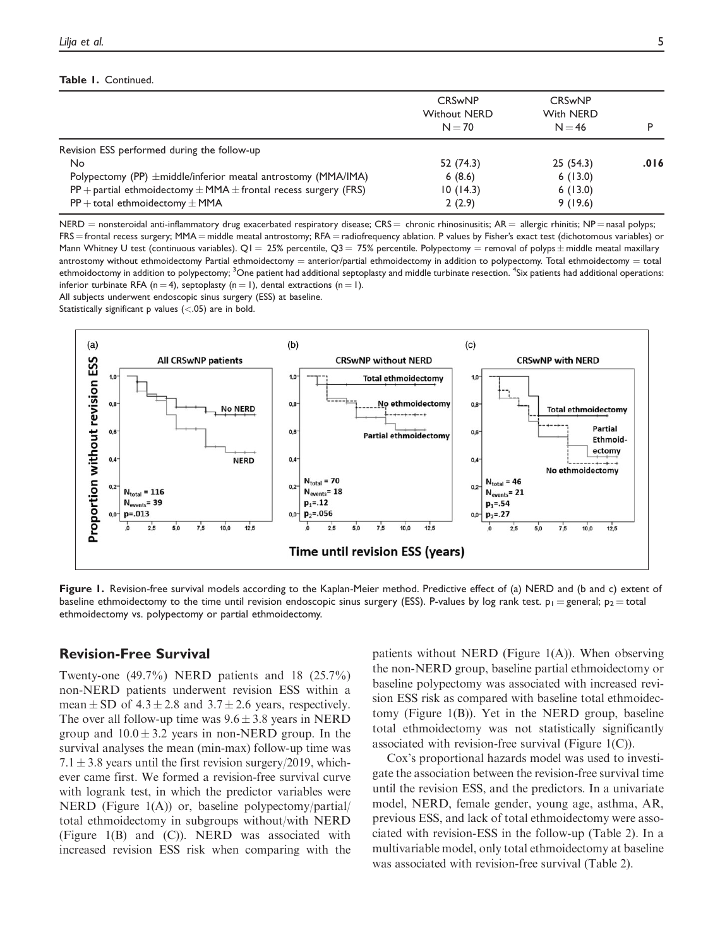#### Table 1. Continued.

|                                                                           | <b>CRSwNP</b><br><b>Without NERD</b><br>$N = 70$ | <b>CRSwNP</b><br>With NERD<br>$N = 46$ |      |
|---------------------------------------------------------------------------|--------------------------------------------------|----------------------------------------|------|
| Revision ESS performed during the follow-up                               |                                                  |                                        |      |
| No                                                                        | 52 (74.3)                                        | 25(54.3)                               | .016 |
| Polypectomy (PP) $\pm$ middle/inferior meatal antrostomy (MMA/IMA)        | 6(8.6)                                           | 6(13.0)                                |      |
| $PP$ + partial ethmoidectomy $\pm$ MMA $\pm$ frontal recess surgery (FRS) | 10(14.3)                                         | 6(13.0)                                |      |
| $PP + total$ ethmoidectomy $\pm$ MMA                                      | 2(2.9)                                           | 9(19.6)                                |      |

NERD = nonsteroidal anti-inflammatory drug exacerbated respiratory disease;  $CRS =$  chronic rhinosinusitis;  $AR =$  allergic rhinitis; NP = nasal polyps; FRS = frontal recess surgery; MMA = middle meatal antrostomy; RFA = radiofrequency ablation. P values by Fisher's exact test (dichotomous variables) or Mann Whitney U test (continuous variables). Q1 = 25% percentile, Q3 = 75% percentile. Polypectomy = removal of polyps  $\pm$  middle meatal maxillary antrostomy without ethmoidectomy Partial ethmoidectomy = anterior/partial ethmoidectomy in addition to polypectomy. Total ethmoidectomy = total ethmoidoctomy in addition to polypectomy; <sup>3</sup>One patient had additional septoplasty and middle turbinate resection. <sup>4</sup>Six patients had additional operations: inferior turbinate RFA (n = 4), septoplasty (n = 1), dental extractions (n = 1).

All subjects underwent endoscopic sinus surgery (ESS) at baseline.

Statistically significant  $p$  values (<.05) are in bold.



Figure 1. Revision-free survival models according to the Kaplan-Meier method. Predictive effect of (a) NERD and (b and c) extent of baseline ethmoidectomy to the time until revision endoscopic sinus surgery (ESS). P-values by log rank test.  $p_1 =$  general;  $p_2 =$  total ethmoidectomy vs. polypectomy or partial ethmoidectomy.

## Revision-Free Survival

Twenty-one (49.7%) NERD patients and 18 (25.7%) non-NERD patients underwent revision ESS within a mean  $\pm$  SD of 4.3  $\pm$  2.8 and 3.7  $\pm$  2.6 years, respectively. The over all follow-up time was  $9.6 \pm 3.8$  years in NERD group and  $10.0 \pm 3.2$  years in non-NERD group. In the survival analyses the mean (min-max) follow-up time was  $7.1 \pm 3.8$  years until the first revision surgery/2019, whichever came first. We formed a revision-free survival curve with logrank test, in which the predictor variables were NERD (Figure 1(A)) or, baseline polypectomy/partial/ total ethmoidectomy in subgroups without/with NERD (Figure 1(B) and (C)). NERD was associated with increased revision ESS risk when comparing with the

patients without NERD (Figure 1(A)). When observing the non-NERD group, baseline partial ethmoidectomy or baseline polypectomy was associated with increased revision ESS risk as compared with baseline total ethmoidectomy (Figure 1(B)). Yet in the NERD group, baseline total ethmoidectomy was not statistically significantly associated with revision-free survival (Figure 1(C)).

Cox's proportional hazards model was used to investigate the association between the revision-free survival time until the revision ESS, and the predictors. In a univariate model, NERD, female gender, young age, asthma, AR, previous ESS, and lack of total ethmoidectomy were associated with revision-ESS in the follow-up (Table 2). In a multivariable model, only total ethmoidectomy at baseline was associated with revision-free survival (Table 2).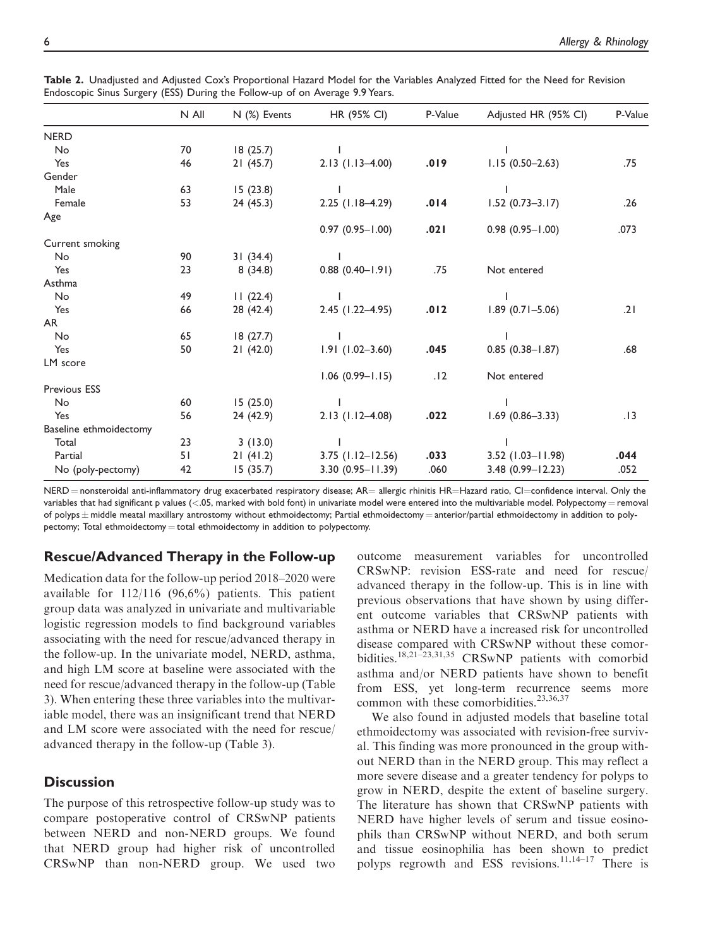|                        | N All | N (%) Events | HR (95% CI)            | P-Value | Adjusted HR (95% CI) | P-Value |
|------------------------|-------|--------------|------------------------|---------|----------------------|---------|
| <b>NERD</b>            |       |              |                        |         |                      |         |
| No                     | 70    | 18(25.7)     |                        |         |                      |         |
| Yes                    | 46    | 21(45.7)     | $2.13$ (1.13-4.00)     | .019    | $1.15(0.50 - 2.63)$  | .75     |
| Gender                 |       |              |                        |         |                      |         |
| Male                   | 63    | 15(23.8)     |                        |         |                      |         |
| Female                 | 53    | 24(45.3)     | $2.25$ (1.18-4.29)     | .014    | $1.52(0.73 - 3.17)$  | .26     |
| Age                    |       |              |                        |         |                      |         |
|                        |       |              | $0.97(0.95 - 1.00)$    | .021    | $0.98(0.95 - 1.00)$  | .073    |
| Current smoking        |       |              |                        |         |                      |         |
| No                     | 90    | 31(34.4)     |                        |         |                      |         |
| Yes                    | 23    | 8(34.8)      | $0.88$ $(0.40 - 1.91)$ | .75     | Not entered          |         |
| Asthma                 |       |              |                        |         |                      |         |
| No                     | 49    | 11(22.4)     |                        |         |                      |         |
| Yes                    | 66    | 28 (42.4)    | 2.45 (1.22-4.95)       | .012    | $1.89(0.71 - 5.06)$  | .21     |
| AR                     |       |              |                        |         |                      |         |
| No                     | 65    | 18(27.7)     |                        |         |                      |         |
| Yes                    | 50    | 21(42.0)     | $1.91(1.02 - 3.60)$    | .045    | $0.85(0.38 - 1.87)$  | .68     |
| LM score               |       |              |                        |         |                      |         |
|                        |       |              | $1.06$ (0.99-1.15)     | .12     | Not entered          |         |
| <b>Previous ESS</b>    |       |              |                        |         |                      |         |
| No                     | 60    | 15(25.0)     |                        |         |                      |         |
| Yes                    | 56    | 24 (42.9)    | $2.13$ (1.12-4.08)     | .022    | $1.69$ (0.86-3.33)   | .13     |
| Baseline ethmoidectomy |       |              |                        |         |                      |         |
| Total                  | 23    | 3(13.0)      |                        |         |                      |         |
| Partial                | 51    | 21(41.2)     | $3.75$ (1.12-12.56)    | .033    | $3.52$ (1.03-11.98)  | .044    |
| No (poly-pectomy)      | 42    | 15(35.7)     | 3.30 (0.95-11.39)      | .060    | 3.48 (0.99-12.23)    | .052    |

Table 2. Unadjusted and Adjusted Cox's Proportional Hazard Model for the Variables Analyzed Fitted for the Need for Revision Endoscopic Sinus Surgery (ESS) During the Follow-up of on Average 9.9 Years.

NERD = nonsteroidal anti-inflammatory drug exacerbated respiratory disease; AR= allergic rhinitis HR=Hazard ratio, CI=confidence interval. Only the variables that had significant p values  $(0.05,$  marked with bold font) in univariate model were entered into the multivariable model. Polypectomy = removal of polyps  $\pm$  middle meatal maxillary antrostomy without ethmoidectomy; Partial ethmoidectomy = anterior/partial ethmoidectomy in addition to polypectomy; Total ethmoidectomy  $=$  total ethmoidectomy in addition to polypectomy.

## Rescue/Advanced Therapy in the Follow-up

Medication data for the follow-up period 2018–2020 were available for  $112/116$  (96,6%) patients. This patient group data was analyzed in univariate and multivariable logistic regression models to find background variables associating with the need for rescue/advanced therapy in the follow-up. In the univariate model, NERD, asthma, and high LM score at baseline were associated with the need for rescue/advanced therapy in the follow-up (Table 3). When entering these three variables into the multivariable model, there was an insignificant trend that NERD and LM score were associated with the need for rescue/ advanced therapy in the follow-up (Table 3).

## **Discussion**

The purpose of this retrospective follow-up study was to compare postoperative control of CRSwNP patients between NERD and non-NERD groups. We found that NERD group had higher risk of uncontrolled CRSwNP than non-NERD group. We used two

outcome measurement variables for uncontrolled CRSwNP: revision ESS-rate and need for rescue/ advanced therapy in the follow-up. This is in line with previous observations that have shown by using different outcome variables that CRSwNP patients with asthma or NERD have a increased risk for uncontrolled disease compared with CRSwNP without these comorbidities.<sup>18,21-23,31,35</sup> CRSwNP patients with comorbid asthma and/or NERD patients have shown to benefit from ESS, yet long-term recurrence seems more common with these comorbidities.<sup>23,36,37</sup>

We also found in adjusted models that baseline total ethmoidectomy was associated with revision-free survival. This finding was more pronounced in the group without NERD than in the NERD group. This may reflect a more severe disease and a greater tendency for polyps to grow in NERD, despite the extent of baseline surgery. The literature has shown that CRSwNP patients with NERD have higher levels of serum and tissue eosinophils than CRSwNP without NERD, and both serum and tissue eosinophilia has been shown to predict polyps regrowth and ESS revisions.<sup>11,14-17</sup> There is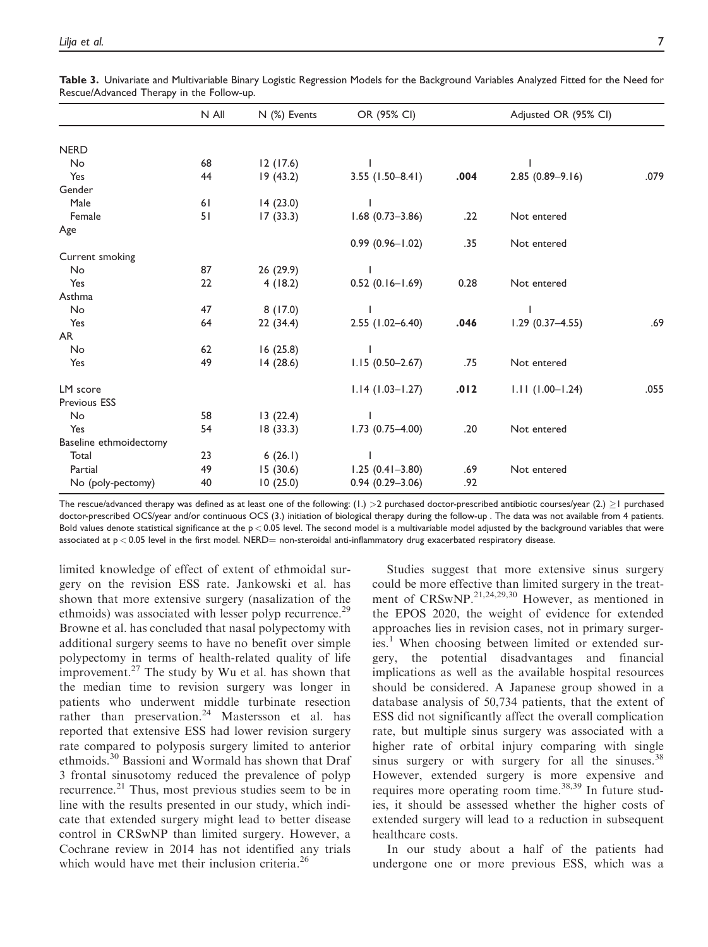|                        | N All | N (%) Events | OR (95% CI)         |      | Adjusted OR (95% CI) |      |
|------------------------|-------|--------------|---------------------|------|----------------------|------|
|                        |       |              |                     |      |                      |      |
| <b>NERD</b>            |       |              |                     |      |                      |      |
| No                     | 68    | 12(17.6)     |                     |      |                      |      |
| Yes                    | 44    | 19(43.2)     | $3.55$ (1.50-8.41)  | .004 | $2.85(0.89 - 9.16)$  | .079 |
| Gender                 |       |              |                     |      |                      |      |
| Male                   | 61    | 14(23.0)     |                     |      |                      |      |
| Female                 | 51    | 17(33.3)     | $1.68$ (0.73-3.86)  | .22  | Not entered          |      |
| Age                    |       |              |                     |      |                      |      |
|                        |       |              | $0.99(0.96 - 1.02)$ | .35  | Not entered          |      |
| Current smoking        |       |              |                     |      |                      |      |
| No                     | 87    | 26 (29.9)    |                     |      |                      |      |
| Yes                    | 22    | 4(18.2)      | $0.52(0.16 - 1.69)$ | 0.28 | Not entered          |      |
| Asthma                 |       |              |                     |      |                      |      |
| No                     | 47    | 8(17.0)      |                     |      |                      |      |
| Yes                    | 64    | 22(34.4)     | $2.55$ (1.02-6.40)  | .046 | $1.29(0.37 - 4.55)$  | .69  |
| AR                     |       |              |                     |      |                      |      |
| No                     | 62    | 16(25.8)     |                     |      |                      |      |
| Yes                    | 49    | 14(28.6)     | $1.15(0.50-2.67)$   | .75  | Not entered          |      |
| LM score               |       |              | $1.14(1.03 - 1.27)$ | .012 | $1.11(1.00 - 1.24)$  | .055 |
| <b>Previous ESS</b>    |       |              |                     |      |                      |      |
| No                     | 58    | 13(22.4)     |                     |      |                      |      |
| Yes                    | 54    | 18(33.3)     | $1.73(0.75 - 4.00)$ | .20  | Not entered          |      |
| Baseline ethmoidectomy |       |              |                     |      |                      |      |
| Total                  | 23    | 6(26.1)      |                     |      |                      |      |
| Partial                | 49    | 15(30.6)     | $1.25(0.41 - 3.80)$ | .69  | Not entered          |      |
| No (poly-pectomy)      | 40    | 10(25.0)     | $0.94(0.29 - 3.06)$ | .92  |                      |      |

Table 3. Univariate and Multivariable Binary Logistic Regression Models for the Background Variables Analyzed Fitted for the Need for Rescue/Advanced Therapy in the Follow-up.

The rescue/advanced therapy was defined as at least one of the following:  $(1.) > 2$  purchased doctor-prescribed antibiotic courses/year  $(2.) \ge 1$  purchased doctor-prescribed OCS/year and/or continuous OCS (3.) initiation of biological therapy during the follow-up . The data was not available from 4 patients. Bold values denote statistical significance at the  $p < 0.05$  level. The second model is a multivariable model adjusted by the background variables that were associated at  $p < 0.05$  level in the first model. NERD= non-steroidal anti-inflammatory drug exacerbated respiratory disease.

limited knowledge of effect of extent of ethmoidal surgery on the revision ESS rate. Jankowski et al. has shown that more extensive surgery (nasalization of the ethmoids) was associated with lesser polyp recurrence.<sup>29</sup> Browne et al. has concluded that nasal polypectomy with additional surgery seems to have no benefit over simple polypectomy in terms of health-related quality of life improvement. $27$  The study by Wu et al. has shown that the median time to revision surgery was longer in patients who underwent middle turbinate resection rather than preservation.<sup>24</sup> Mastersson et al. has reported that extensive ESS had lower revision surgery rate compared to polyposis surgery limited to anterior ethmoids.<sup>30</sup> Bassioni and Wormald has shown that Draf 3 frontal sinusotomy reduced the prevalence of polyp recurrence.<sup>21</sup> Thus, most previous studies seem to be in line with the results presented in our study, which indicate that extended surgery might lead to better disease control in CRSwNP than limited surgery. However, a Cochrane review in 2014 has not identified any trials which would have met their inclusion criteria.<sup>26</sup>

Studies suggest that more extensive sinus surgery could be more effective than limited surgery in the treatment of CRSwNP.<sup>21,24,29,30</sup> However, as mentioned in the EPOS 2020, the weight of evidence for extended approaches lies in revision cases, not in primary surgeries.<sup>1</sup> When choosing between limited or extended surgery, the potential disadvantages and financial implications as well as the available hospital resources should be considered. A Japanese group showed in a database analysis of 50,734 patients, that the extent of ESS did not significantly affect the overall complication rate, but multiple sinus surgery was associated with a higher rate of orbital injury comparing with single sinus surgery or with surgery for all the sinuses.<sup>38</sup> However, extended surgery is more expensive and requires more operating room time. $38,39$  In future studies, it should be assessed whether the higher costs of extended surgery will lead to a reduction in subsequent healthcare costs.

In our study about a half of the patients had undergone one or more previous ESS, which was a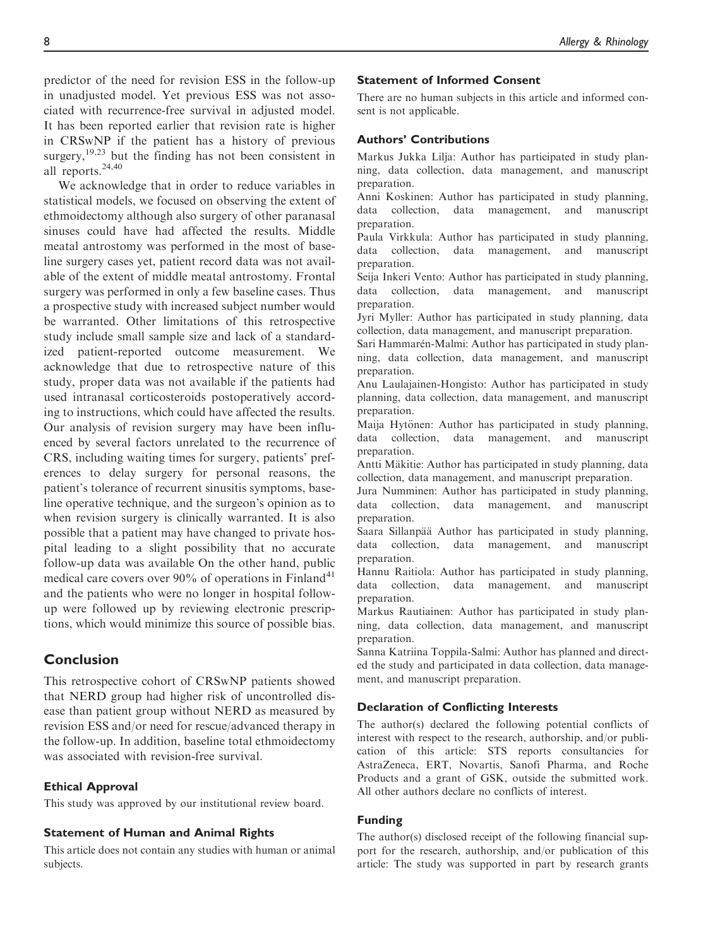predictor of the need for revision ESS in the follow-up in unadjusted model. Yet previous ESS was not associated with recurrence-free survival in adjusted model. It has been reported earlier that revision rate is higher in CRSwNP if the patient has a history of previous surgery, $19,23$  but the finding has not been consistent in all reports.<sup>24,40</sup>

We acknowledge that in order to reduce variables in statistical models, we focused on observing the extent of ethmoidectomy although also surgery of other paranasal sinuses could have had affected the results. Middle meatal antrostomy was performed in the most of baseline surgery cases yet, patient record data was not available of the extent of middle meatal antrostomy. Frontal surgery was performed in only a few baseline cases. Thus a prospective study with increased subject number would be warranted. Other limitations of this retrospective study include small sample size and lack of a standardized patient-reported outcome measurement. We acknowledge that due to retrospective nature of this study, proper data was not available if the patients had used intranasal corticosteroids postoperatively according to instructions, which could have affected the results. Our analysis of revision surgery may have been influenced by several factors unrelated to the recurrence of CRS, including waiting times for surgery, patients' preferences to delay surgery for personal reasons, the patient's tolerance of recurrent sinusitis symptoms, baseline operative technique, and the surgeon's opinion as to when revision surgery is clinically warranted. It is also possible that a patient may have changed to private hospital leading to a slight possibility that no accurate follow-up data was available On the other hand, public medical care covers over  $90\%$  of operations in Finland<sup>41</sup> and the patients who were no longer in hospital followup were followed up by reviewing electronic prescriptions, which would minimize this source of possible bias.

## Conclusion

This retrospective cohort of CRSwNP patients showed that NERD group had higher risk of uncontrolled disease than patient group without NERD as measured by revision ESS and/or need for rescue/advanced therapy in the follow-up. In addition, baseline total ethmoidectomy was associated with revision-free survival.

#### Ethical Approval

This study was approved by our institutional review board.

## Statement of Human and Animal Rights

This article does not contain any studies with human or animal subjects.

## Statement of Informed Consent

There are no human subjects in this article and informed consent is not applicable.

#### Authors' Contributions

Markus Jukka Lilja: Author has participated in study planning, data collection, data management, and manuscript preparation.

Anni Koskinen: Author has participated in study planning, data collection, data management, and manuscript preparation.

Paula Virkkula: Author has participated in study planning, data collection, data management, and manuscript preparation.

Seija Inkeri Vento: Author has participated in study planning, data collection, data management, and manuscript preparation.

Jyri Myller: Author has participated in study planning, data collection, data management, and manuscript preparation.

Sari Hammarén-Malmi: Author has participated in study planning, data collection, data management, and manuscript preparation.

Anu Laulajainen-Hongisto: Author has participated in study planning, data collection, data management, and manuscript preparation.

Maija Hytönen: Author has participated in study planning, data collection, data management, and manuscript preparation.

Antti Mäkitie: Author has participated in study planning, data collection, data management, and manuscript preparation.

Jura Numminen: Author has participated in study planning, data collection, data management, and manuscript preparation.

Saara Sillanpää Author has participated in study planning, data collection, data management, and manuscript preparation.

Hannu Raitiola: Author has participated in study planning, data collection, data management, and manuscript preparation.

Markus Rautiainen: Author has participated in study planning, data collection, data management, and manuscript preparation.

Sanna Katriina Toppila-Salmi: Author has planned and directed the study and participated in data collection, data management, and manuscript preparation.

#### Declaration of Conflicting Interests

The author(s) declared the following potential conflicts of interest with respect to the research, authorship, and/or publication of this article: STS reports consultancies for AstraZeneca, ERT, Novartis, Sanofi Pharma, and Roche Products and a grant of GSK, outside the submitted work. All other authors declare no conflicts of interest.

#### Funding

The author(s) disclosed receipt of the following financial support for the research, authorship, and/or publication of this article: The study was supported in part by research grants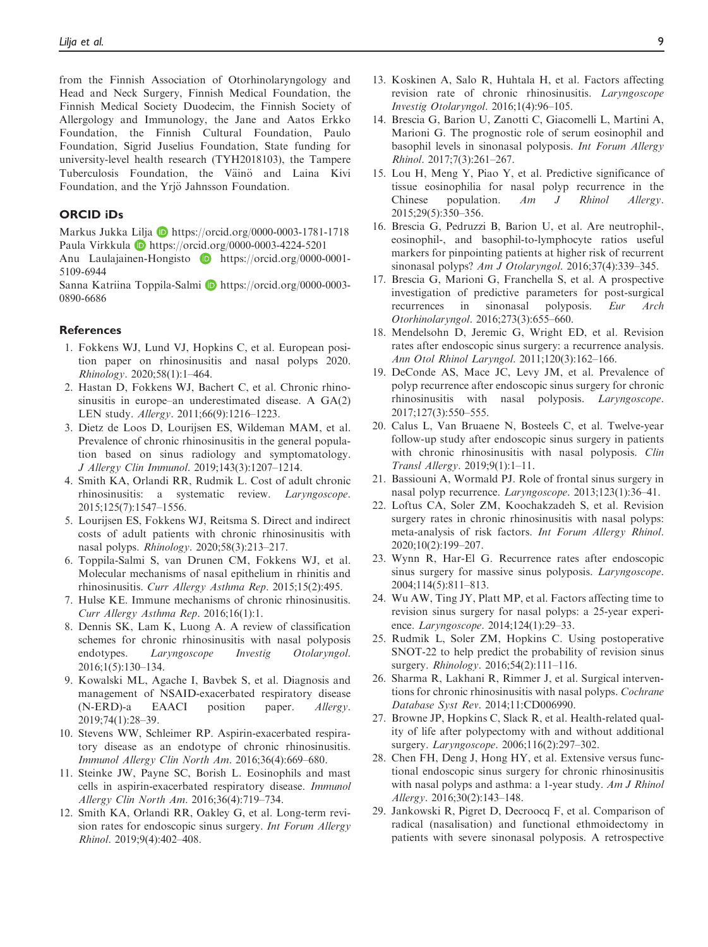from the Finnish Association of Otorhinolaryngology and Head and Neck Surgery, Finnish Medical Foundation, the Finnish Medical Society Duodecim, the Finnish Society of Allergology and Immunology, the Jane and Aatos Erkko Foundation, the Finnish Cultural Foundation, Paulo Foundation, Sigrid Juselius Foundation, State funding for university-level health research (TYH2018103), the Tampere Tuberculosis Foundation, the Väinö and Laina Kivi Foundation, and the Yriö Jahnsson Foundation.

#### ORCID iDs

Markus Jukka Lilja D <https://orcid.org/0000-0003-1781-1718> Paula Virkkula **D** <https://orcid.org/0000-0003-4224-5201>

Anu Laulajainen-Hongisto **D** [https://orcid.org/0000-0001-](https://orcid.org/0000-0001-5109-6944) [5109-6944](https://orcid.org/0000-0001-5109-6944)

Sanna Katriina Toppila-Salmi **D** [https://orcid.org/0000-0003-](https://orcid.org/0000-0003-0890-6686) [0890-6686](https://orcid.org/0000-0003-0890-6686)

#### **References**

- 1. Fokkens WJ, Lund VJ, Hopkins C, et al. European position paper on rhinosinusitis and nasal polyps 2020. Rhinology. 2020;58(1):1–464.
- 2. Hastan D, Fokkens WJ, Bachert C, et al. Chronic rhinosinusitis in europe–an underestimated disease. A GA(2) LEN study. Allergy. 2011;66(9):1216–1223.
- 3. Dietz de Loos D, Lourijsen ES, Wildeman MAM, et al. Prevalence of chronic rhinosinusitis in the general population based on sinus radiology and symptomatology. J Allergy Clin Immunol. 2019;143(3):1207–1214.
- 4. Smith KA, Orlandi RR, Rudmik L. Cost of adult chronic rhinosinusitis: a systematic review. Laryngoscope. 2015;125(7):1547–1556.
- 5. Lourijsen ES, Fokkens WJ, Reitsma S. Direct and indirect costs of adult patients with chronic rhinosinusitis with nasal polyps. Rhinology. 2020;58(3):213–217.
- 6. Toppila-Salmi S, van Drunen CM, Fokkens WJ, et al. Molecular mechanisms of nasal epithelium in rhinitis and rhinosinusitis. Curr Allergy Asthma Rep. 2015;15(2):495.
- 7. Hulse KE. Immune mechanisms of chronic rhinosinusitis. Curr Allergy Asthma Rep. 2016;16(1):1.
- 8. Dennis SK, Lam K, Luong A. A review of classification schemes for chronic rhinosinusitis with nasal polyposis endotypes. Laryngoscope Investig Otolaryngol. 2016;1(5):130–134.
- 9. Kowalski ML, Agache I, Bavbek S, et al. Diagnosis and management of NSAID-exacerbated respiratory disease (N-ERD)-a EAACI position paper. Allergy. 2019;74(1):28–39.
- 10. Stevens WW, Schleimer RP. Aspirin-exacerbated respiratory disease as an endotype of chronic rhinosinusitis. Immunol Allergy Clin North Am. 2016;36(4):669–680.
- 11. Steinke JW, Payne SC, Borish L. Eosinophils and mast cells in aspirin-exacerbated respiratory disease. Immunol Allergy Clin North Am. 2016;36(4):719–734.
- 12. Smith KA, Orlandi RR, Oakley G, et al. Long-term revision rates for endoscopic sinus surgery. Int Forum Allergy Rhinol. 2019;9(4):402–408.
- 13. Koskinen A, Salo R, Huhtala H, et al. Factors affecting revision rate of chronic rhinosinusitis. Laryngoscope Investig Otolaryngol. 2016;1(4):96–105.
- 14. Brescia G, Barion U, Zanotti C, Giacomelli L, Martini A, Marioni G. The prognostic role of serum eosinophil and basophil levels in sinonasal polyposis. Int Forum Allergy Rhinol. 2017;7(3):261–267.
- 15. Lou H, Meng Y, Piao Y, et al. Predictive significance of tissue eosinophilia for nasal polyp recurrence in the Chinese population. Am J Rhinol Allergy. 2015;29(5):350–356.
- 16. Brescia G, Pedruzzi B, Barion U, et al. Are neutrophil-, eosinophil-, and basophil-to-lymphocyte ratios useful markers for pinpointing patients at higher risk of recurrent sinonasal polyps? Am J Otolaryngol. 2016;37(4):339–345.
- 17. Brescia G, Marioni G, Franchella S, et al. A prospective investigation of predictive parameters for post-surgical recurrences in sinonasal polyposis. Eur Arch Otorhinolaryngol. 2016;273(3):655–660.
- 18. Mendelsohn D, Jeremic G, Wright ED, et al. Revision rates after endoscopic sinus surgery: a recurrence analysis. Ann Otol Rhinol Laryngol. 2011;120(3):162–166.
- 19. DeConde AS, Mace JC, Levy JM, et al. Prevalence of polyp recurrence after endoscopic sinus surgery for chronic rhinosinusitis with nasal polyposis. Laryngoscope. 2017;127(3):550–555.
- 20. Calus L, Van Bruaene N, Bosteels C, et al. Twelve-year follow-up study after endoscopic sinus surgery in patients with chronic rhinosinusitis with nasal polyposis. Clin Transl Allergy. 2019;9(1):1–11.
- 21. Bassiouni A, Wormald PJ. Role of frontal sinus surgery in nasal polyp recurrence. Laryngoscope. 2013;123(1):36–41.
- 22. Loftus CA, Soler ZM, Koochakzadeh S, et al. Revision surgery rates in chronic rhinosinusitis with nasal polyps: meta-analysis of risk factors. Int Forum Allergy Rhinol. 2020;10(2):199–207.
- 23. Wynn R, Har-El G. Recurrence rates after endoscopic sinus surgery for massive sinus polyposis. Laryngoscope. 2004;114(5):811–813.
- 24. Wu AW, Ting JY, Platt MP, et al. Factors affecting time to revision sinus surgery for nasal polyps: a 25-year experience. Laryngoscope. 2014;124(1):29–33.
- 25. Rudmik L, Soler ZM, Hopkins C. Using postoperative SNOT-22 to help predict the probability of revision sinus surgery. Rhinology. 2016;54(2):111-116.
- 26. Sharma R, Lakhani R, Rimmer J, et al. Surgical interventions for chronic rhinosinusitis with nasal polyps. Cochrane Database Syst Rev. 2014;11:CD006990.
- 27. Browne JP, Hopkins C, Slack R, et al. Health-related quality of life after polypectomy with and without additional surgery. Laryngoscope. 2006;116(2):297–302.
- 28. Chen FH, Deng J, Hong HY, et al. Extensive versus functional endoscopic sinus surgery for chronic rhinosinusitis with nasal polyps and asthma: a 1-year study. Am J Rhinol Allergy. 2016;30(2):143–148.
- 29. Jankowski R, Pigret D, Decroocq F, et al. Comparison of radical (nasalisation) and functional ethmoidectomy in patients with severe sinonasal polyposis. A retrospective